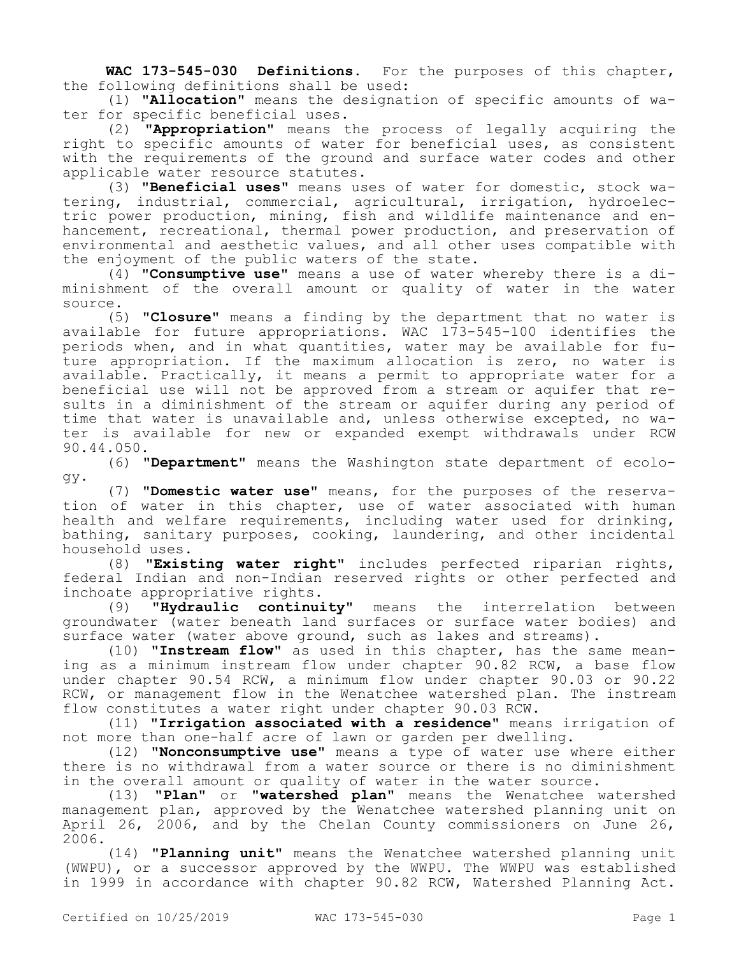**WAC 173-545-030 Definitions.** For the purposes of this chapter, the following definitions shall be used:

(1) **"Allocation"** means the designation of specific amounts of water for specific beneficial uses.

(2) **"Appropriation"** means the process of legally acquiring the right to specific amounts of water for beneficial uses, as consistent with the requirements of the ground and surface water codes and other applicable water resource statutes.

(3) **"Beneficial uses"** means uses of water for domestic, stock watering, industrial, commercial, agricultural, irrigation, hydroelectric power production, mining, fish and wildlife maintenance and enhancement, recreational, thermal power production, and preservation of environmental and aesthetic values, and all other uses compatible with the enjoyment of the public waters of the state.

(4) **"Consumptive use"** means a use of water whereby there is a diminishment of the overall amount or quality of water in the water source.

(5) **"Closure"** means a finding by the department that no water is available for future appropriations. WAC 173-545-100 identifies the periods when, and in what quantities, water may be available for future appropriation. If the maximum allocation is zero, no water is available. Practically, it means a permit to appropriate water for a beneficial use will not be approved from a stream or aquifer that results in a diminishment of the stream or aquifer during any period of time that water is unavailable and, unless otherwise excepted, no water is available for new or expanded exempt withdrawals under RCW 90.44.050.

(6) **"Department"** means the Washington state department of ecology.

(7) **"Domestic water use"** means, for the purposes of the reservation of water in this chapter, use of water associated with human health and welfare requirements, including water used for drinking, bathing, sanitary purposes, cooking, laundering, and other incidental household uses.

(8) **"Existing water right"** includes perfected riparian rights, federal Indian and non-Indian reserved rights or other perfected and inchoate appropriative rights.

(9) **"Hydraulic continuity"** means the interrelation between groundwater (water beneath land surfaces or surface water bodies) and surface water (water above ground, such as lakes and streams).

(10) **"Instream flow"** as used in this chapter, has the same meaning as a minimum instream flow under chapter 90.82 RCW, a base flow under chapter 90.54 RCW, a minimum flow under chapter 90.03 or 90.22 RCW, or management flow in the Wenatchee watershed plan. The instream flow constitutes a water right under chapter 90.03 RCW.

(11) **"Irrigation associated with a residence"** means irrigation of not more than one-half acre of lawn or garden per dwelling.

(12) **"Nonconsumptive use"** means a type of water use where either there is no withdrawal from a water source or there is no diminishment in the overall amount or quality of water in the water source.

(13) **"Plan"** or **"watershed plan"** means the Wenatchee watershed management plan, approved by the Wenatchee watershed planning unit on April 26, 2006, and by the Chelan County commissioners on June 26, 2006.

(14) **"Planning unit"** means the Wenatchee watershed planning unit (WWPU), or a successor approved by the WWPU. The WWPU was established in 1999 in accordance with chapter 90.82 RCW, Watershed Planning Act.